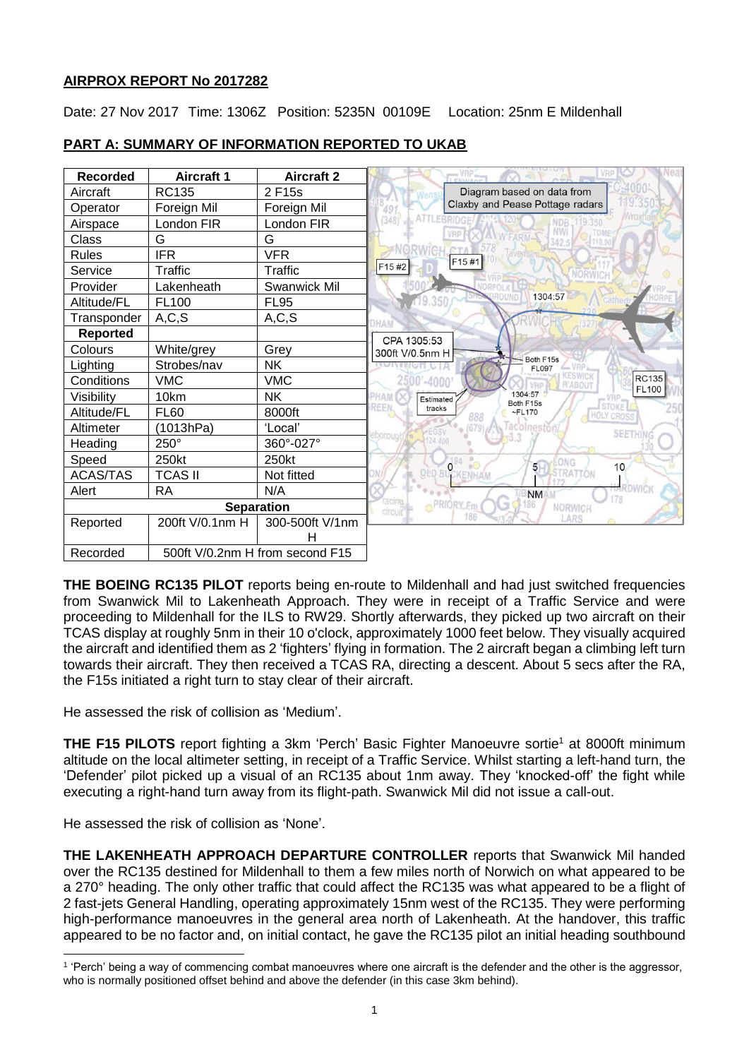# **AIRPROX REPORT No 2017282**

Date: 27 Nov 2017 Time: 1306Z Position: 5235N 00109E Location: 25nm E Mildenhall



# **PART A: SUMMARY OF INFORMATION REPORTED TO UKAB**

**THE BOEING RC135 PILOT** reports being en-route to Mildenhall and had just switched frequencies from Swanwick Mil to Lakenheath Approach. They were in receipt of a Traffic Service and were proceeding to Mildenhall for the ILS to RW29. Shortly afterwards, they picked up two aircraft on their TCAS display at roughly 5nm in their 10 o'clock, approximately 1000 feet below. They visually acquired the aircraft and identified them as 2 'fighters' flying in formation. The 2 aircraft began a climbing left turn towards their aircraft. They then received a TCAS RA, directing a descent. About 5 secs after the RA, the F15s initiated a right turn to stay clear of their aircraft.

He assessed the risk of collision as 'Medium'.

**THE F15 PILOTS** report fighting a 3km 'Perch' Basic Fighter Manoeuvre sortie<sup>1</sup> at 8000ft minimum altitude on the local altimeter setting, in receipt of a Traffic Service. Whilst starting a left-hand turn, the 'Defender' pilot picked up a visual of an RC135 about 1nm away. They 'knocked-off' the fight while executing a right-hand turn away from its flight-path. Swanwick Mil did not issue a call-out.

He assessed the risk of collision as 'None'.

**THE LAKENHEATH APPROACH DEPARTURE CONTROLLER** reports that Swanwick Mil handed over the RC135 destined for Mildenhall to them a few miles north of Norwich on what appeared to be a 270° heading. The only other traffic that could affect the RC135 was what appeared to be a flight of 2 fast-jets General Handling, operating approximately 15nm west of the RC135. They were performing high-performance manoeuvres in the general area north of Lakenheath. At the handover, this traffic appeared to be no factor and, on initial contact, he gave the RC135 pilot an initial heading southbound

 $\overline{\phantom{a}}$ 1 'Perch' being a way of commencing combat manoeuvres where one aircraft is the defender and the other is the aggressor, who is normally positioned offset behind and above the defender (in this case 3km behind).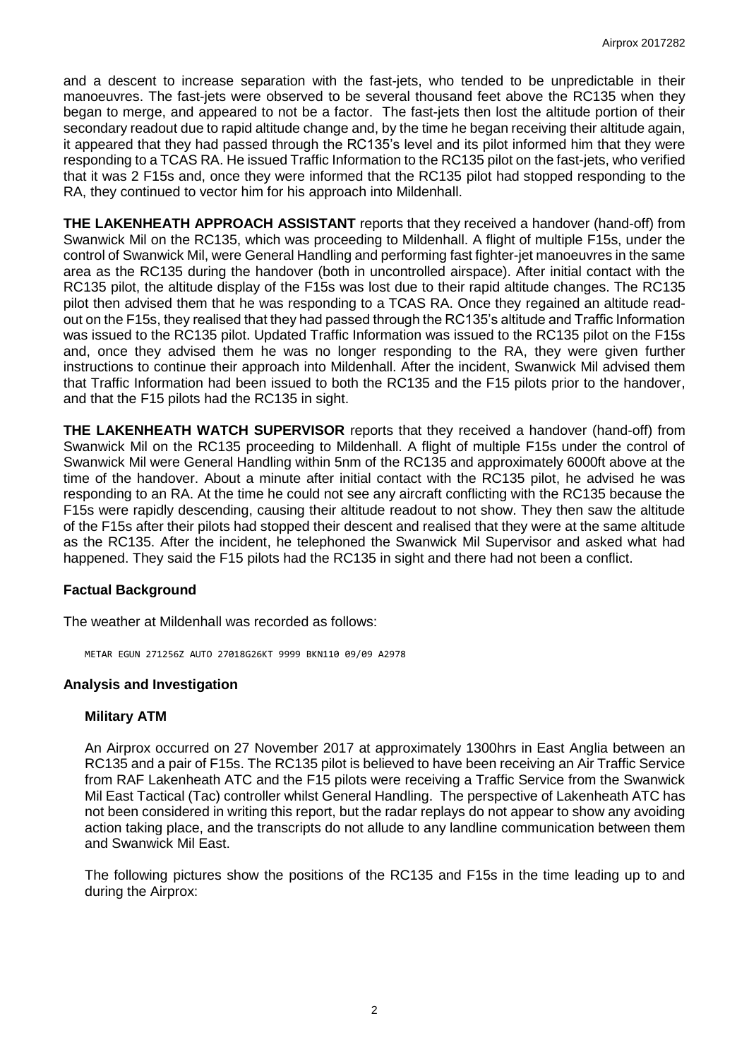and a descent to increase separation with the fast-jets, who tended to be unpredictable in their manoeuvres. The fast-jets were observed to be several thousand feet above the RC135 when they began to merge, and appeared to not be a factor. The fast-jets then lost the altitude portion of their secondary readout due to rapid altitude change and, by the time he began receiving their altitude again, it appeared that they had passed through the RC135's level and its pilot informed him that they were responding to a TCAS RA. He issued Traffic Information to the RC135 pilot on the fast-jets, who verified that it was 2 F15s and, once they were informed that the RC135 pilot had stopped responding to the RA, they continued to vector him for his approach into Mildenhall.

**THE LAKENHEATH APPROACH ASSISTANT** reports that they received a handover (hand-off) from Swanwick Mil on the RC135, which was proceeding to Mildenhall. A flight of multiple F15s, under the control of Swanwick Mil, were General Handling and performing fast fighter-jet manoeuvres in the same area as the RC135 during the handover (both in uncontrolled airspace). After initial contact with the RC135 pilot, the altitude display of the F15s was lost due to their rapid altitude changes. The RC135 pilot then advised them that he was responding to a TCAS RA. Once they regained an altitude readout on the F15s, they realised that they had passed through the RC135's altitude and Traffic Information was issued to the RC135 pilot. Updated Traffic Information was issued to the RC135 pilot on the F15s and, once they advised them he was no longer responding to the RA, they were given further instructions to continue their approach into Mildenhall. After the incident, Swanwick Mil advised them that Traffic Information had been issued to both the RC135 and the F15 pilots prior to the handover, and that the F15 pilots had the RC135 in sight.

**THE LAKENHEATH WATCH SUPERVISOR** reports that they received a handover (hand-off) from Swanwick Mil on the RC135 proceeding to Mildenhall. A flight of multiple F15s under the control of Swanwick Mil were General Handling within 5nm of the RC135 and approximately 6000ft above at the time of the handover. About a minute after initial contact with the RC135 pilot, he advised he was responding to an RA. At the time he could not see any aircraft conflicting with the RC135 because the F15s were rapidly descending, causing their altitude readout to not show. They then saw the altitude of the F15s after their pilots had stopped their descent and realised that they were at the same altitude as the RC135. After the incident, he telephoned the Swanwick Mil Supervisor and asked what had happened. They said the F15 pilots had the RC135 in sight and there had not been a conflict.

### **Factual Background**

The weather at Mildenhall was recorded as follows:

METAR EGUN 271256Z AUTO 27018G26KT 9999 BKN110 09/09 A2978

### **Analysis and Investigation**

### **Military ATM**

An Airprox occurred on 27 November 2017 at approximately 1300hrs in East Anglia between an RC135 and a pair of F15s. The RC135 pilot is believed to have been receiving an Air Traffic Service from RAF Lakenheath ATC and the F15 pilots were receiving a Traffic Service from the Swanwick Mil East Tactical (Tac) controller whilst General Handling. The perspective of Lakenheath ATC has not been considered in writing this report, but the radar replays do not appear to show any avoiding action taking place, and the transcripts do not allude to any landline communication between them and Swanwick Mil East.

The following pictures show the positions of the RC135 and F15s in the time leading up to and during the Airprox: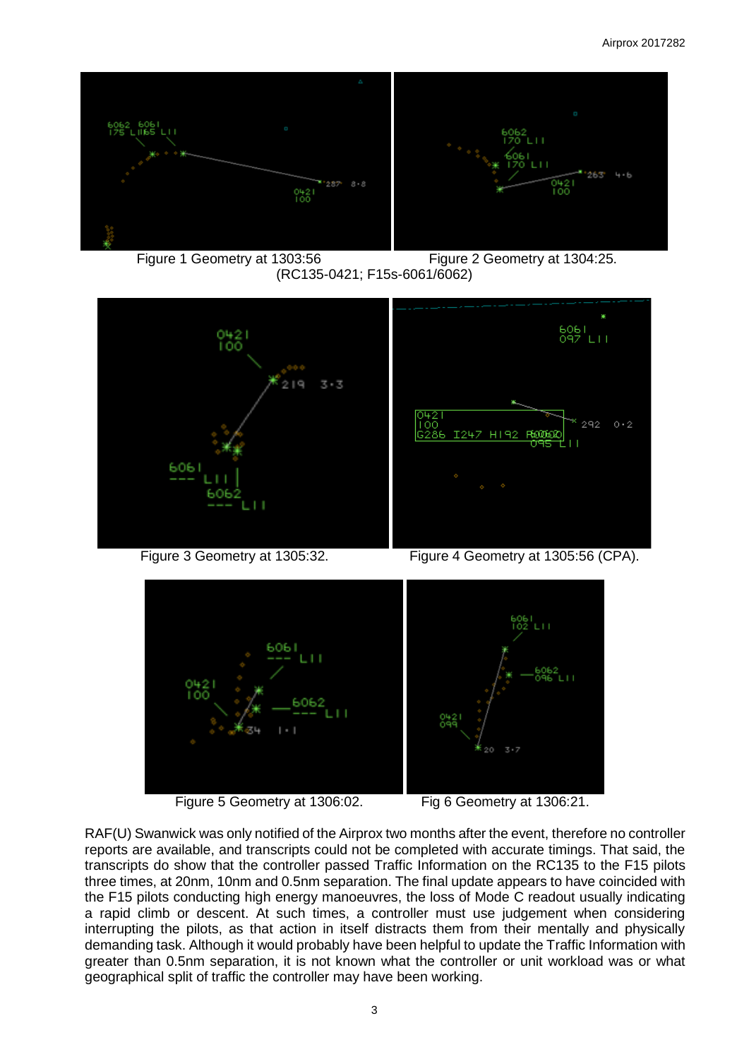







Figure 3 Geometry at 1305:32. Figure 4 Geometry at 1305:56 (CPA).



Figure 5 Geometry at 1306:02. Fig 6 Geometry at 1306:21.

RAF(U) Swanwick was only notified of the Airprox two months after the event, therefore no controller reports are available, and transcripts could not be completed with accurate timings. That said, the transcripts do show that the controller passed Traffic Information on the RC135 to the F15 pilots three times, at 20nm, 10nm and 0.5nm separation. The final update appears to have coincided with the F15 pilots conducting high energy manoeuvres, the loss of Mode C readout usually indicating a rapid climb or descent. At such times, a controller must use judgement when considering interrupting the pilots, as that action in itself distracts them from their mentally and physically demanding task. Although it would probably have been helpful to update the Traffic Information with greater than 0.5nm separation, it is not known what the controller or unit workload was or what geographical split of traffic the controller may have been working.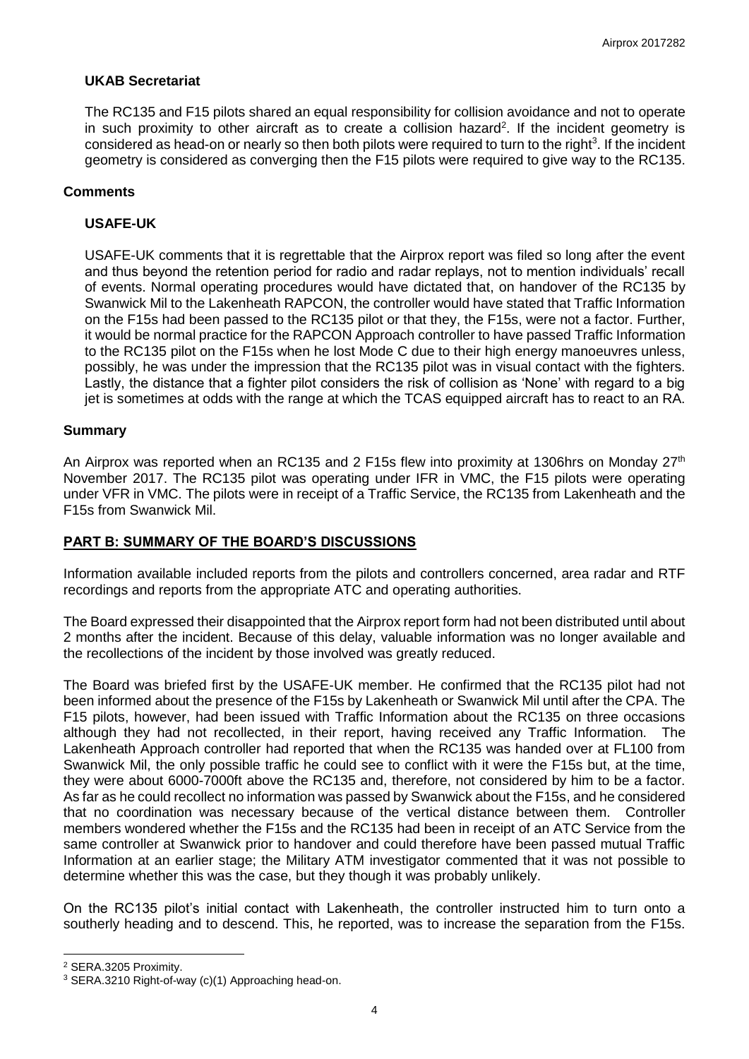### **UKAB Secretariat**

The RC135 and F15 pilots shared an equal responsibility for collision avoidance and not to operate in such proximity to other aircraft as to create a collision hazard<sup>2</sup>. If the incident geometry is considered as head-on or nearly so then both pilots were required to turn to the right<sup>3</sup>. If the incident geometry is considered as converging then the F15 pilots were required to give way to the RC135.

### **Comments**

## **USAFE-UK**

USAFE-UK comments that it is regrettable that the Airprox report was filed so long after the event and thus beyond the retention period for radio and radar replays, not to mention individuals' recall of events. Normal operating procedures would have dictated that, on handover of the RC135 by Swanwick Mil to the Lakenheath RAPCON, the controller would have stated that Traffic Information on the F15s had been passed to the RC135 pilot or that they, the F15s, were not a factor. Further, it would be normal practice for the RAPCON Approach controller to have passed Traffic Information to the RC135 pilot on the F15s when he lost Mode C due to their high energy manoeuvres unless, possibly, he was under the impression that the RC135 pilot was in visual contact with the fighters. Lastly, the distance that a fighter pilot considers the risk of collision as 'None' with regard to a big jet is sometimes at odds with the range at which the TCAS equipped aircraft has to react to an RA.

### **Summary**

An Airprox was reported when an RC135 and 2 F15s flew into proximity at 1306hrs on Monday 27<sup>th</sup> November 2017. The RC135 pilot was operating under IFR in VMC, the F15 pilots were operating under VFR in VMC. The pilots were in receipt of a Traffic Service, the RC135 from Lakenheath and the F15s from Swanwick Mil.

# **PART B: SUMMARY OF THE BOARD'S DISCUSSIONS**

Information available included reports from the pilots and controllers concerned, area radar and RTF recordings and reports from the appropriate ATC and operating authorities.

The Board expressed their disappointed that the Airprox report form had not been distributed until about 2 months after the incident. Because of this delay, valuable information was no longer available and the recollections of the incident by those involved was greatly reduced.

The Board was briefed first by the USAFE-UK member. He confirmed that the RC135 pilot had not been informed about the presence of the F15s by Lakenheath or Swanwick Mil until after the CPA. The F15 pilots, however, had been issued with Traffic Information about the RC135 on three occasions although they had not recollected, in their report, having received any Traffic Information. The Lakenheath Approach controller had reported that when the RC135 was handed over at FL100 from Swanwick Mil, the only possible traffic he could see to conflict with it were the F15s but, at the time, they were about 6000-7000ft above the RC135 and, therefore, not considered by him to be a factor. As far as he could recollect no information was passed by Swanwick about the F15s, and he considered that no coordination was necessary because of the vertical distance between them. Controller members wondered whether the F15s and the RC135 had been in receipt of an ATC Service from the same controller at Swanwick prior to handover and could therefore have been passed mutual Traffic Information at an earlier stage; the Military ATM investigator commented that it was not possible to determine whether this was the case, but they though it was probably unlikely.

On the RC135 pilot's initial contact with Lakenheath, the controller instructed him to turn onto a southerly heading and to descend. This, he reported, was to increase the separation from the F15s.

 $\overline{\phantom{a}}$ 

<sup>2</sup> SERA.3205 Proximity.

<sup>3</sup> SERA.3210 Right-of-way (c)(1) Approaching head-on.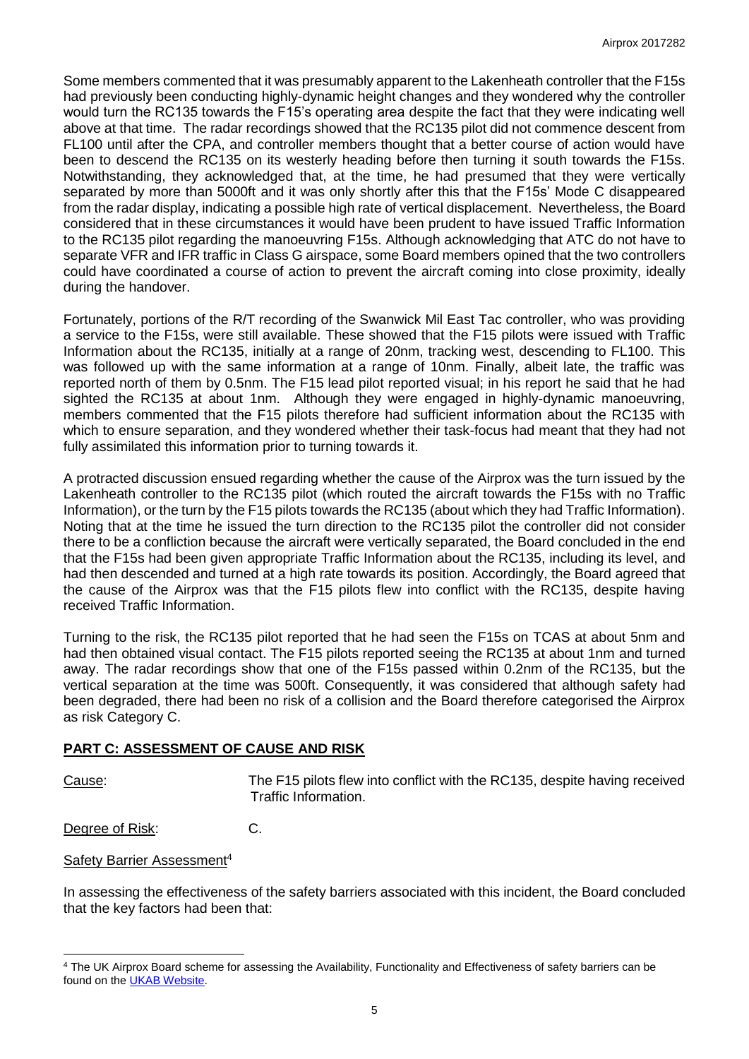Some members commented that it was presumably apparent to the Lakenheath controller that the F15s had previously been conducting highly-dynamic height changes and they wondered why the controller would turn the RC135 towards the F15's operating area despite the fact that they were indicating well above at that time. The radar recordings showed that the RC135 pilot did not commence descent from FL100 until after the CPA, and controller members thought that a better course of action would have been to descend the RC135 on its westerly heading before then turning it south towards the F15s. Notwithstanding, they acknowledged that, at the time, he had presumed that they were vertically separated by more than 5000ft and it was only shortly after this that the F15s' Mode C disappeared from the radar display, indicating a possible high rate of vertical displacement. Nevertheless, the Board considered that in these circumstances it would have been prudent to have issued Traffic Information to the RC135 pilot regarding the manoeuvring F15s. Although acknowledging that ATC do not have to separate VFR and IFR traffic in Class G airspace, some Board members opined that the two controllers could have coordinated a course of action to prevent the aircraft coming into close proximity, ideally during the handover.

Fortunately, portions of the R/T recording of the Swanwick Mil East Tac controller, who was providing a service to the F15s, were still available. These showed that the F15 pilots were issued with Traffic Information about the RC135, initially at a range of 20nm, tracking west, descending to FL100. This was followed up with the same information at a range of 10nm. Finally, albeit late, the traffic was reported north of them by 0.5nm. The F15 lead pilot reported visual; in his report he said that he had sighted the RC135 at about 1nm. Although they were engaged in highly-dynamic manoeuvring, members commented that the F15 pilots therefore had sufficient information about the RC135 with which to ensure separation, and they wondered whether their task-focus had meant that they had not fully assimilated this information prior to turning towards it.

A protracted discussion ensued regarding whether the cause of the Airprox was the turn issued by the Lakenheath controller to the RC135 pilot (which routed the aircraft towards the F15s with no Traffic Information), or the turn by the F15 pilots towards the RC135 (about which they had Traffic Information). Noting that at the time he issued the turn direction to the RC135 pilot the controller did not consider there to be a confliction because the aircraft were vertically separated, the Board concluded in the end that the F15s had been given appropriate Traffic Information about the RC135, including its level, and had then descended and turned at a high rate towards its position. Accordingly, the Board agreed that the cause of the Airprox was that the F15 pilots flew into conflict with the RC135, despite having received Traffic Information.

Turning to the risk, the RC135 pilot reported that he had seen the F15s on TCAS at about 5nm and had then obtained visual contact. The F15 pilots reported seeing the RC135 at about 1nm and turned away. The radar recordings show that one of the F15s passed within 0.2nm of the RC135, but the vertical separation at the time was 500ft. Consequently, it was considered that although safety had been degraded, there had been no risk of a collision and the Board therefore categorised the Airprox as risk Category C.

## **PART C: ASSESSMENT OF CAUSE AND RISK**

 $\overline{\phantom{a}}$ 

Cause: The F15 pilots flew into conflict with the RC135, despite having received Traffic Information.

Degree of Risk: C.

Safety Barrier Assessment<sup>4</sup>

In assessing the effectiveness of the safety barriers associated with this incident, the Board concluded that the key factors had been that:

<sup>4</sup> The UK Airprox Board scheme for assessing the Availability, Functionality and Effectiveness of safety barriers can be found on the **UKAB Website**.